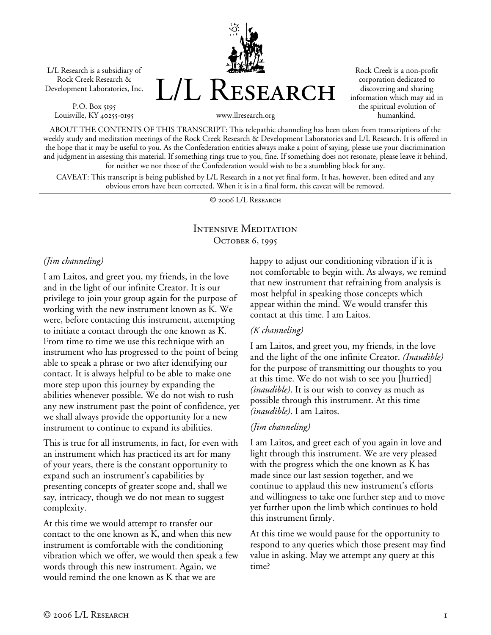L/L Research is a subsidiary of Rock Creek Research & Development Laboratories, Inc.

P.O. Box 5195 Louisville, KY 40255-0195 L/L Research

Rock Creek is a non-profit corporation dedicated to discovering and sharing information which may aid in the spiritual evolution of humankind.

www.llresearch.org

ABOUT THE CONTENTS OF THIS TRANSCRIPT: This telepathic channeling has been taken from transcriptions of the weekly study and meditation meetings of the Rock Creek Research & Development Laboratories and L/L Research. It is offered in the hope that it may be useful to you. As the Confederation entities always make a point of saying, please use your discrimination and judgment in assessing this material. If something rings true to you, fine. If something does not resonate, please leave it behind, for neither we nor those of the Confederation would wish to be a stumbling block for any.

CAVEAT: This transcript is being published by L/L Research in a not yet final form. It has, however, been edited and any obvious errors have been corrected. When it is in a final form, this caveat will be removed.

© 2006 L/L Research

# Intensive Meditation OCTOBER 6, 1995

### *(Jim channeling)*

I am Laitos, and greet you, my friends, in the love and in the light of our infinite Creator. It is our privilege to join your group again for the purpose of working with the new instrument known as K. We were, before contacting this instrument, attempting to initiate a contact through the one known as K. From time to time we use this technique with an instrument who has progressed to the point of being able to speak a phrase or two after identifying our contact. It is always helpful to be able to make one more step upon this journey by expanding the abilities whenever possible. We do not wish to rush any new instrument past the point of confidence, yet we shall always provide the opportunity for a new instrument to continue to expand its abilities.

This is true for all instruments, in fact, for even with an instrument which has practiced its art for many of your years, there is the constant opportunity to expand such an instrument's capabilities by presenting concepts of greater scope and, shall we say, intricacy, though we do not mean to suggest complexity.

At this time we would attempt to transfer our contact to the one known as K, and when this new instrument is comfortable with the conditioning vibration which we offer, we would then speak a few words through this new instrument. Again, we would remind the one known as K that we are

happy to adjust our conditioning vibration if it is not comfortable to begin with. As always, we remind that new instrument that refraining from analysis is most helpful in speaking those concepts which appear within the mind. We would transfer this contact at this time. I am Laitos.

## *(K channeling)*

I am Laitos, and greet you, my friends, in the love and the light of the one infinite Creator. *(Inaudible)* for the purpose of transmitting our thoughts to you at this time. We do not wish to see you [hurried] *(inaudible)*. It is our wish to convey as much as possible through this instrument. At this time *(inaudible)*. I am Laitos.

## *(Jim channeling)*

I am Laitos, and greet each of you again in love and light through this instrument. We are very pleased with the progress which the one known as K has made since our last session together, and we continue to applaud this new instrument's efforts and willingness to take one further step and to move yet further upon the limb which continues to hold this instrument firmly.

At this time we would pause for the opportunity to respond to any queries which those present may find value in asking. May we attempt any query at this time?